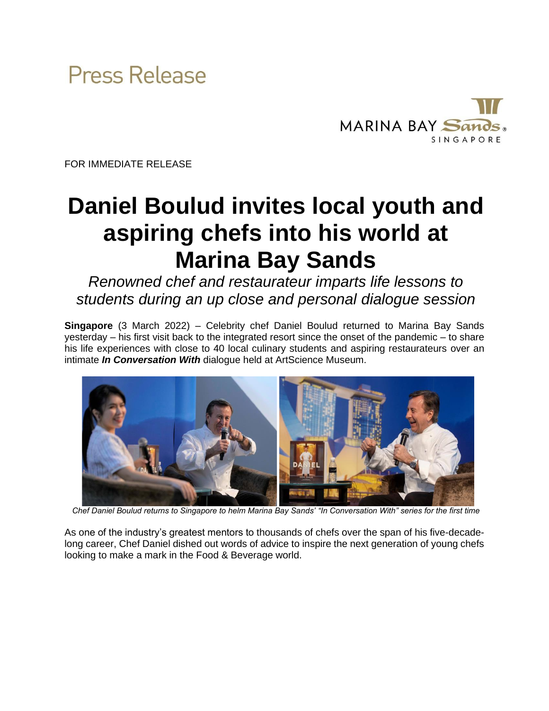



FOR IMMEDIATE RELEASE

# **Daniel Boulud invites local youth and aspiring chefs into his world at Marina Bay Sands**

*Renowned chef and restaurateur imparts life lessons to students during an up close and personal dialogue session*

**Singapore** (3 March 2022) – Celebrity chef Daniel Boulud returned to Marina Bay Sands yesterday – his first visit back to the integrated resort since the onset of the pandemic – to share his life experiences with close to 40 local culinary students and aspiring restaurateurs over an intimate *In Conversation With* dialogue held at ArtScience Museum.



*Chef Daniel Boulud returns to Singapore to helm Marina Bay Sands' "In Conversation With" series for the first time* 

As one of the industry's greatest mentors to thousands of chefs over the span of his five-decadelong career, Chef Daniel dished out words of advice to inspire the next generation of young chefs looking to make a mark in the Food & Beverage world.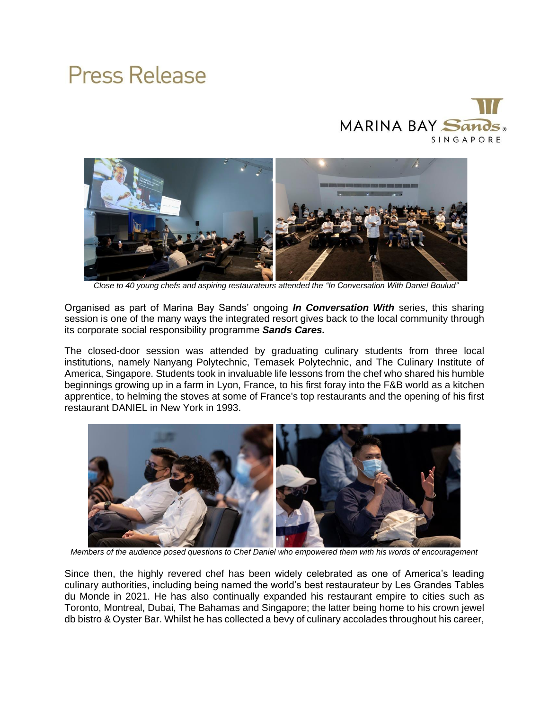### MARINA BAY Sands. SINGAPORE



*Close to 40 young chefs and aspiring restaurateurs attended the "In Conversation With Daniel Boulud"* 

Organised as part of Marina Bay Sands' ongoing *In Conversation With* series, this sharing session is one of the many ways the integrated resort gives back to the local community through its corporate social responsibility programme *Sands Cares.*

The closed-door session was attended by graduating culinary students from three local institutions, namely Nanyang Polytechnic, Temasek Polytechnic, and The Culinary Institute of America, Singapore. Students took in invaluable life lessons from the chef who shared his humble beginnings growing up in a farm in Lyon, France, to his first foray into the F&B world as a kitchen apprentice, to helming the stoves at some of France's top restaurants and the opening of his first restaurant DANIEL in New York in 1993.



*Members of the audience posed questions to Chef Daniel who empowered them with his words of encouragement*

Since then, the highly revered chef has been widely celebrated as one of America's leading culinary authorities, including being named the world's best restaurateur by Les Grandes Tables du Monde in 2021. He has also continually expanded his restaurant empire to cities such as Toronto, Montreal, Dubai, The Bahamas and Singapore; the latter being home to his crown jewel db bistro & Oyster Bar. Whilst he has collected a bevy of culinary accolades throughout his career,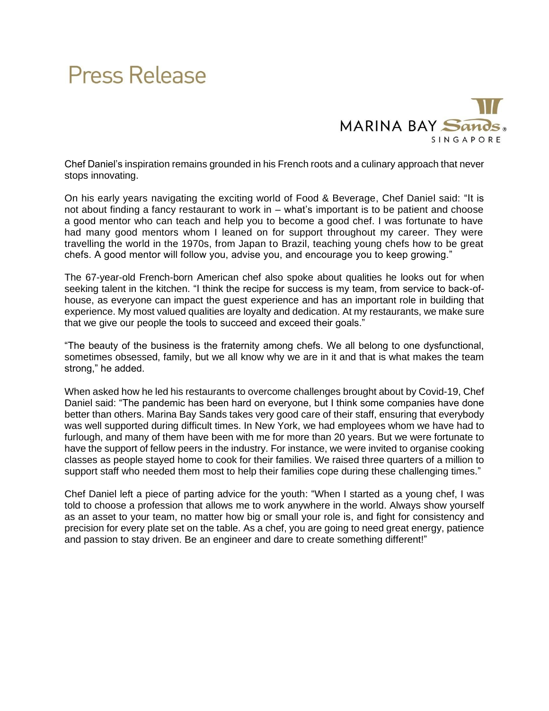

Chef Daniel's inspiration remains grounded in his French roots and a culinary approach that never stops innovating.

On his early years navigating the exciting world of Food & Beverage, Chef Daniel said: "It is not about finding a fancy restaurant to work in – what's important is to be patient and choose a good mentor who can teach and help you to become a good chef. I was fortunate to have had many good mentors whom I leaned on for support throughout my career. They were travelling the world in the 1970s, from Japan to Brazil, teaching young chefs how to be great chefs. A good mentor will follow you, advise you, and encourage you to keep growing."

The 67-year-old French-born American chef also spoke about qualities he looks out for when seeking talent in the kitchen. "I think the recipe for success is my team, from service to back-ofhouse, as everyone can impact the guest experience and has an important role in building that experience. My most valued qualities are loyalty and dedication. At my restaurants, we make sure that we give our people the tools to succeed and exceed their goals."

"The beauty of the business is the fraternity among chefs. We all belong to one dysfunctional, sometimes obsessed, family, but we all know why we are in it and that is what makes the team strong," he added.

When asked how he led his restaurants to overcome challenges brought about by Covid-19, Chef Daniel said: "The pandemic has been hard on everyone, but I think some companies have done better than others. Marina Bay Sands takes very good care of their staff, ensuring that everybody was well supported during difficult times. In New York, we had employees whom we have had to furlough, and many of them have been with me for more than 20 years. But we were fortunate to have the support of fellow peers in the industry. For instance, we were invited to organise cooking classes as people stayed home to cook for their families. We raised three quarters of a million to support staff who needed them most to help their families cope during these challenging times."

Chef Daniel left a piece of parting advice for the youth: "When I started as a young chef, I was told to choose a profession that allows me to work anywhere in the world. Always show yourself as an asset to your team, no matter how big or small your role is, and fight for consistency and precision for every plate set on the table. As a chef, you are going to need great energy, patience and passion to stay driven. Be an engineer and dare to create something different!"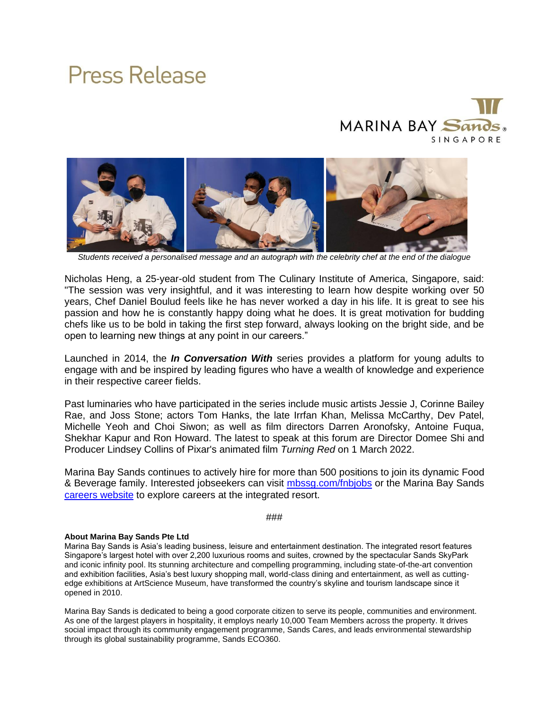### MARINA BAY Sands. SINGAPORE



*Students received a personalised message and an autograph with the celebrity chef at the end of the dialogue*

Nicholas Heng, a 25-year-old student from The Culinary Institute of America, Singapore, said: "The session was very insightful, and it was interesting to learn how despite working over 50 years, Chef Daniel Boulud feels like he has never worked a day in his life. It is great to see his passion and how he is constantly happy doing what he does. It is great motivation for budding chefs like us to be bold in taking the first step forward, always looking on the bright side, and be open to learning new things at any point in our careers."

Launched in 2014, the *In Conversation With* series provides a platform for young adults to engage with and be inspired by leading figures who have a wealth of knowledge and experience in their respective career fields.

Past luminaries who have participated in the series include music artists Jessie J, Corinne Bailey Rae, and Joss Stone; actors Tom Hanks, the late Irrfan Khan, Melissa McCarthy, Dev Patel, Michelle Yeoh and Choi Siwon; as well as film directors Darren Aronofsky, Antoine Fuqua, Shekhar Kapur and Ron Howard. The latest to speak at this forum are Director Domee Shi and Producer Lindsey Collins of Pixar's animated film *Turning Red* on 1 March 2022.

Marina Bay Sands continues to actively hire for more than 500 positions to join its dynamic Food & Beverage family. Interested jobseekers can visit [mbssg.com/fnbjobs](https://mbssg.com/fnbjobs) or the Marina Bay Sands [careers website](https://www.marinabaysands.com/careers.html) to explore careers at the integrated resort.

#### ###

#### **About Marina Bay Sands Pte Ltd**

Marina Bay Sands is Asia's leading business, leisure and entertainment destination. The integrated resort features Singapore's largest hotel with over 2,200 luxurious rooms and suites, crowned by the spectacular Sands SkyPark and iconic infinity pool. Its stunning architecture and compelling programming, including state-of-the-art convention and exhibition facilities, Asia's best luxury shopping mall, world-class dining and entertainment, as well as cuttingedge exhibitions at ArtScience Museum, have transformed the country's skyline and tourism landscape since it opened in 2010.

Marina Bay Sands is dedicated to being a good corporate citizen to serve its people, communities and environment. As one of the largest players in hospitality, it employs nearly 10,000 Team Members across the property. It drives social impact through its community engagement programme, Sands Cares, and leads environmental stewardship through its global sustainability programme, Sands ECO360.